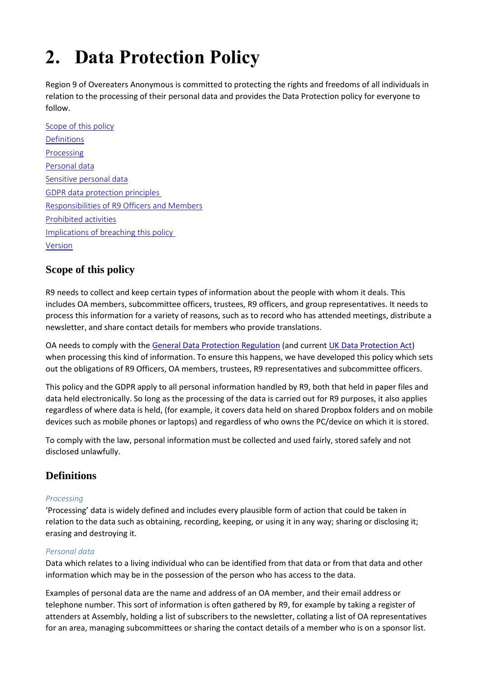# **2. Data Protection Policy**

Region 9 of Overeaters Anonymous is committed to protecting the rights and freedoms of all individuals in relation to the processing of their personal data and provides the Data Protection policy for everyone to follow.

<span id="page-0-0"></span>[Scope of this policy](#page-0-0) **[Definitions](#page-0-1) [Processing](#page-0-2)** [Personal data](#page-0-3) [Sensitive personal data](#page-1-0) [GDPR data protection principles](#page-1-1) Responsibilities of R9 [Officers and Members](#page-1-2) [Prohibited activities](#page-2-0) [Implications of breaching this policy](#page-2-1) [Version](#page-3-0)

# **Scope of this policy**

R9 needs to collect and keep certain types of information about the people with whom it deals. This includes OA members, subcommittee officers, trustees, R9 officers, and group representatives. It needs to process this information for a variety of reasons, such as to record who has attended meetings, distribute a newsletter, and share contact details for members who provide translations.

OA needs to comply with the [General Data Protection Regulation](https://gdpr-info.eu/) (and current [UK Data Protection Act\)](http://www.legislation.gov.uk/ukpga/1998/29/contents) when processing this kind of information. To ensure this happens, we have developed this policy which sets out the obligations of R9 Officers, OA members, trustees, R9 representatives and subcommittee officers.

This policy and the GDPR apply to all personal information handled by R9, both that held in paper files and data held electronically. So long as the processing of the data is carried out for R9 purposes, it also applies regardless of where data is held, (for example, it covers data held on shared Dropbox folders and on mobile devices such as mobile phones or laptops) and regardless of who owns the PC/device on which it is stored.

To comply with the law, personal information must be collected and used fairly, stored safely and not disclosed unlawfully.

# <span id="page-0-1"></span>**Definitions**

### <span id="page-0-2"></span>*Processing*

'Processing' data is widely defined and includes every plausible form of action that could be taken in relation to the data such as obtaining, recording, keeping, or using it in any way; sharing or disclosing it; erasing and destroying it.

### <span id="page-0-3"></span>*Personal data*

Data which relates to a living individual who can be identified from that data or from that data and other information which may be in the possession of the person who has access to the data.

Examples of personal data are the name and address of an OA member, and their email address or telephone number. This sort of information is often gathered by R9, for example by taking a register of attenders at Assembly, holding a list of subscribers to the newsletter, collating a list of OA representatives for an area, managing subcommittees or sharing the contact details of a member who is on a sponsor list.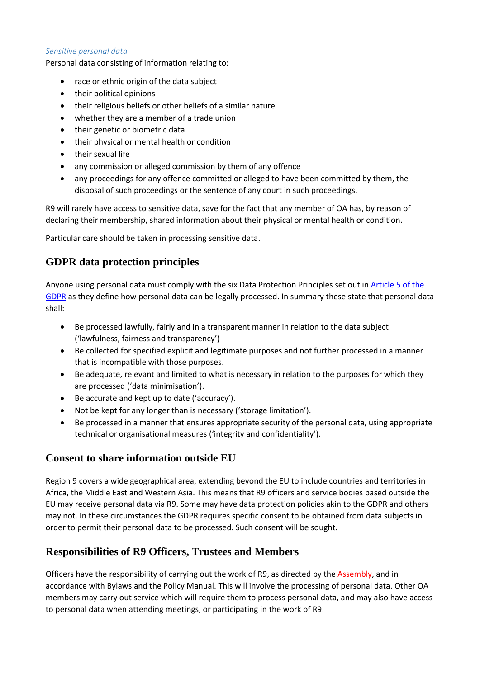#### <span id="page-1-0"></span>*Sensitive personal data*

Personal data consisting of information relating to:

- race or ethnic origin of the data subject
- their political opinions
- their religious beliefs or other beliefs of a similar nature
- whether they are a member of a trade union
- their genetic or biometric data
- their physical or mental health or condition
- their sexual life
- any commission or alleged commission by them of any offence
- any proceedings for any offence committed or alleged to have been committed by them, the disposal of such proceedings or the sentence of any court in such proceedings.

R9 will rarely have access to sensitive data, save for the fact that any member of OA has, by reason of declaring their membership, shared information about their physical or mental health or condition.

Particular care should be taken in processing sensitive data.

## <span id="page-1-1"></span>**GDPR data protection principles**

Anyone using personal data must comply with the six Data Protection Principles set out in Article 5 of the [GDPR](https://gdpr-info.eu/art-5-gdpr/) as they define how personal data can be legally processed. In summary these state that personal data shall:

- Be processed lawfully, fairly and in a transparent manner in relation to the data subject ('lawfulness, fairness and transparency')
- Be collected for specified explicit and legitimate purposes and not further processed in a manner that is incompatible with those purposes.
- Be adequate, relevant and limited to what is necessary in relation to the purposes for which they are processed ('data minimisation').
- Be accurate and kept up to date ('accuracy').
- Not be kept for any longer than is necessary ('storage limitation').
- Be processed in a manner that ensures appropriate security of the personal data, using appropriate technical or organisational measures ('integrity and confidentiality').

## **Consent to share information outside EU**

Region 9 covers a wide geographical area, extending beyond the EU to include countries and territories in Africa, the Middle East and Western Asia. This means that R9 officers and service bodies based outside the EU may receive personal data via R9. Some may have data protection policies akin to the GDPR and others may not. In these circumstances the GDPR requires specific consent to be obtained from data subjects in order to permit their personal data to be processed. Such consent will be sought.

## <span id="page-1-2"></span>**Responsibilities of R9 Officers, Trustees and Members**

Officers have the responsibility of carrying out the work of R9, as directed by the Assembly, and in accordance with Bylaws and the Policy Manual. This will involve the processing of personal data. Other OA members may carry out service which will require them to process personal data, and may also have access to personal data when attending meetings, or participating in the work of R9.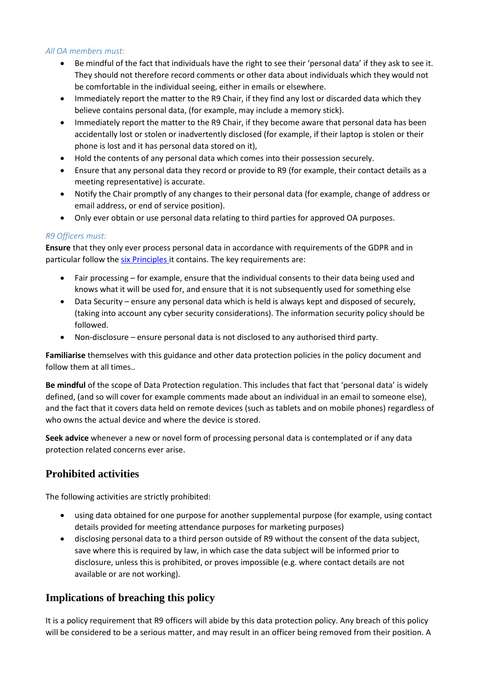#### *All OA members must:*

- Be mindful of the fact that individuals have the right to see their 'personal data' if they ask to see it. They should not therefore record comments or other data about individuals which they would not be comfortable in the individual seeing, either in emails or elsewhere.
- Immediately report the matter to the R9 Chair, if they find any lost or discarded data which they believe contains personal data, (for example, may include a memory stick).
- Immediately report the matter to the R9 Chair, if they become aware that personal data has been accidentally lost or stolen or inadvertently disclosed (for example, if their laptop is stolen or their phone is lost and it has personal data stored on it),
- Hold the contents of any personal data which comes into their possession securely.
- Ensure that any personal data they record or provide to R9 (for example, their contact details as a meeting representative) is accurate.
- Notify the Chair promptly of any changes to their personal data (for example, change of address or email address, or end of service position).
- Only ever obtain or use personal data relating to third parties for approved OA purposes.

#### *R9 Officers must:*

**Ensure** that they only ever process personal data in accordance with requirements of the GDPR and in particular follow the [six Principles](#page-2-0) it contains. The key requirements are:

- Fair processing for example, ensure that the individual consents to their data being used and knows what it will be used for, and ensure that it is not subsequently used for something else
- Data Security ensure any personal data which is held is always kept and disposed of securely, (taking into account any cyber security considerations). The information security policy should be followed.
- Non-disclosure ensure personal data is not disclosed to any authorised third party.

**Familiarise** themselves with this guidance and other data protection policies in the policy document and follow them at all times..

**Be mindful** of the scope of Data Protection regulation. This includes that fact that 'personal data' is widely defined, (and so will cover for example comments made about an individual in an email to someone else), and the fact that it covers data held on remote devices (such as tablets and on mobile phones) regardless of who owns the actual device and where the device is stored.

**Seek advice** whenever a new or novel form of processing personal data is contemplated or if any data protection related concerns ever arise.

# <span id="page-2-0"></span>**Prohibited activities**

The following activities are strictly prohibited:

- using data obtained for one purpose for another supplemental purpose (for example, using contact details provided for meeting attendance purposes for marketing purposes)
- disclosing personal data to a third person outside of R9 without the consent of the data subject, save where this is required by law, in which case the data subject will be informed prior to disclosure, unless this is prohibited, or proves impossible (e.g. where contact details are not available or are not working).

# <span id="page-2-1"></span>**Implications of breaching this policy**

It is a policy requirement that R9 officers will abide by this data protection policy. Any breach of this policy will be considered to be a serious matter, and may result in an officer being removed from their position. A